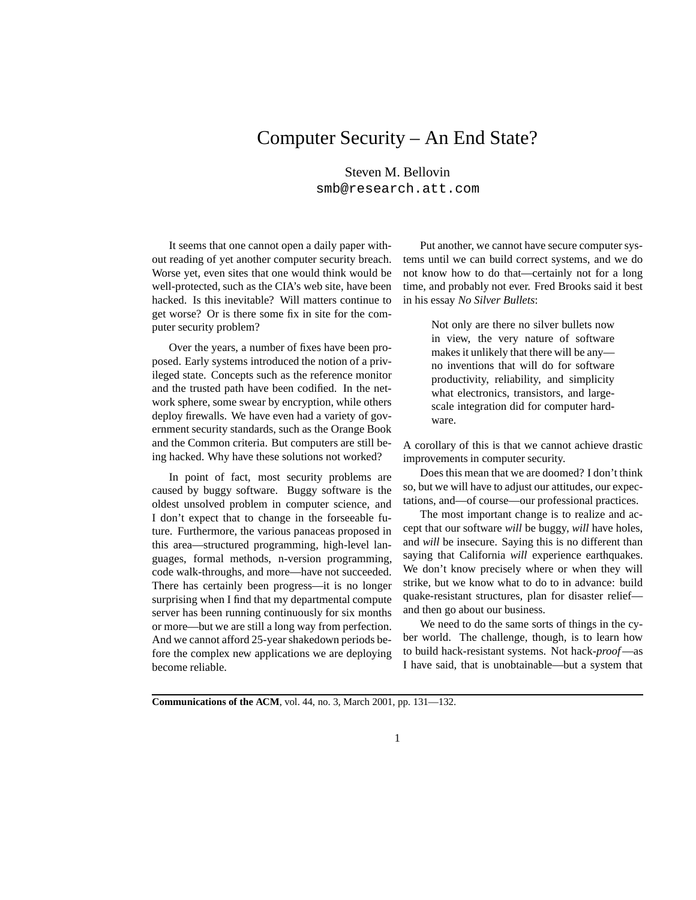## Computer Security – An End State?

Steven M. Bellovin smb@research.att.com

It seems that one cannot open a daily paper without reading of yet another computer security breach. Worse yet, even sites that one would think would be well-protected, such as the CIA's web site, have been hacked. Is this inevitable? Will matters continue to get worse? Or is there some fix in site for the computer security problem?

Over the years, a number of fixes have been proposed. Early systems introduced the notion of a privileged state. Concepts such as the reference monitor and the trusted path have been codified. In the network sphere, some swear by encryption, while others deploy firewalls. We have even had a variety of government security standards, such as the Orange Book and the Common criteria. But computers are still being hacked. Why have these solutions not worked?

In point of fact, most security problems are caused by buggy software. Buggy software is the oldest unsolved problem in computer science, and I don't expect that to change in the forseeable future. Furthermore, the various panaceas proposed in this area—structured programming, high-level languages, formal methods, n-version programming, code walk-throughs, and more—have not succeeded. There has certainly been progress—it is no longer surprising when I find that my departmental compute server has been running continuously for six months or more—but we are still a long way from perfection. And we cannot afford 25-year shakedown periods before the complex new applications we are deploying become reliable.

Put another, we cannot have secure computer systems until we can build correct systems, and we do not know how to do that—certainly not for a long time, and probably not ever. Fred Brooks said it best in his essay *No Silver Bullets*:

> Not only are there no silver bullets now in view, the very nature of software makes it unlikely that there will be any no inventions that will do for software productivity, reliability, and simplicity what electronics, transistors, and largescale integration did for computer hardware.

A corollary of this is that we cannot achieve drastic improvements in computer security.

Does this mean that we are doomed? I don't think so, but we will have to adjust our attitudes, our expectations, and—of course—our professional practices.

The most important change is to realize and accept that our software *will* be buggy, *will* have holes, and *will* be insecure. Saying this is no different than saying that California *will* experience earthquakes. We don't know precisely where or when they will strike, but we know what to do to in advance: build quake-resistant structures, plan for disaster relief and then go about our business.

We need to do the same sorts of things in the cyber world. The challenge, though, is to learn how to build hack-resistant systems. Not hack-*proof*—as I have said, that is unobtainable—but a system that

**Communications of the ACM**, vol. 44, no. 3, March 2001, pp. 131—132.